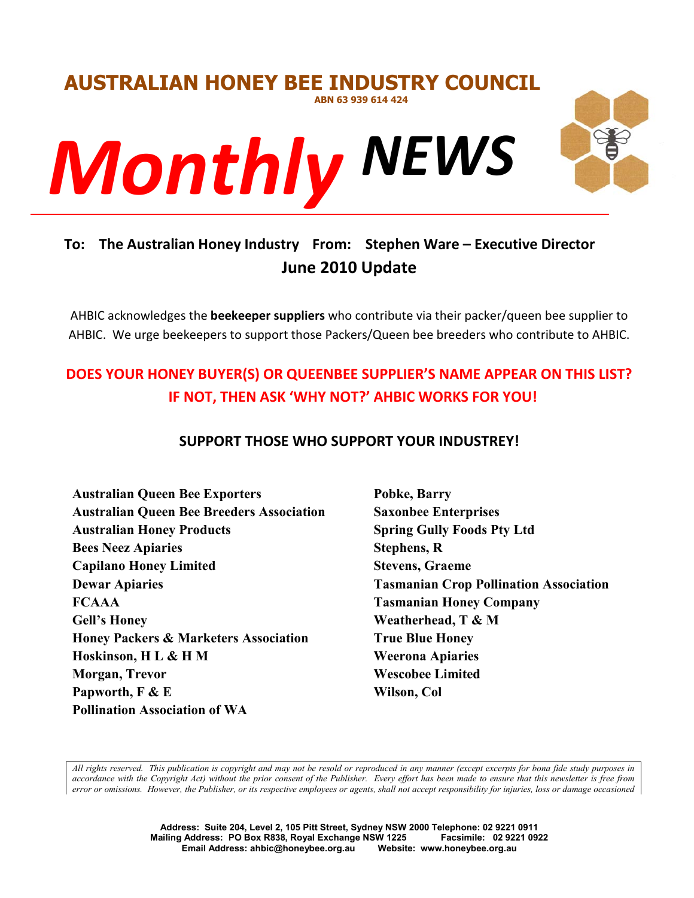

# **To: The Australian Honey Industry From: Stephen Ware – Executive Director June 2010 Update**

AHBIC acknowledges the **beekeeper suppliers** who contribute via their packer/queen bee supplier to AHBIC. We urge beekeepers to support those Packers/Queen bee breeders who contribute to AHBIC.

# **DOES YOUR HONEY BUYER(S) OR QUEENBEE SUPPLIER'S NAME APPEAR ON THIS LIST? IF NOT, THEN ASK 'WHY NOT?' AHBIC WORKS FOR YOU!**

# **SUPPORT THOSE WHO SUPPORT YOUR INDUSTREY!**

**Australian Queen Bee Exporters Australian Queen Bee Breeders Association Australian Honey Products Bees Neez Apiaries Capilano Honey Limited Dewar Apiaries FCAAA Gell's Honey Honey Packers & Marketers Association Hoskinson, H L & H M Morgan, Trevor Papworth, F & E Pollination Association of WA**

**Pobke, Barry Saxonbee Enterprises Spring Gully Foods Pty Ltd Stephens, R Stevens, Graeme Tasmanian Crop Pollination Association Tasmanian Honey Company Weatherhead, T & M True Blue Honey Weerona Apiaries Wescobee Limited Wilson, Col**

*All rights reserved. This publication is copyright and may not be resold or reproduced in any manner (except excerpts for bona fide study purposes in accordance with the Copyright Act) without the prior consent of the Publisher. Every effort has been made to ensure that this newsletter is free from error or omissions. However, the Publisher, or its respective employees or agents, shall not accept responsibility for injuries, loss or damage occasioned*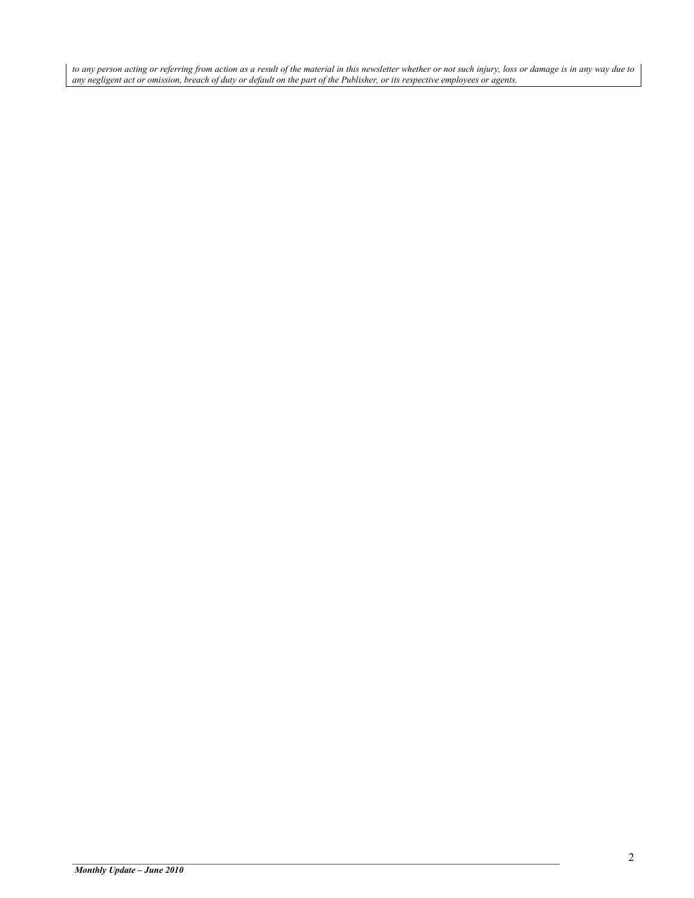*to any person acting or referring from action as a result of the material in this newsletter whether or not such injury, loss or damage is in any way due to any negligent act or omission, breach of duty or default on the part of the Publisher, or its respective employees or agents.*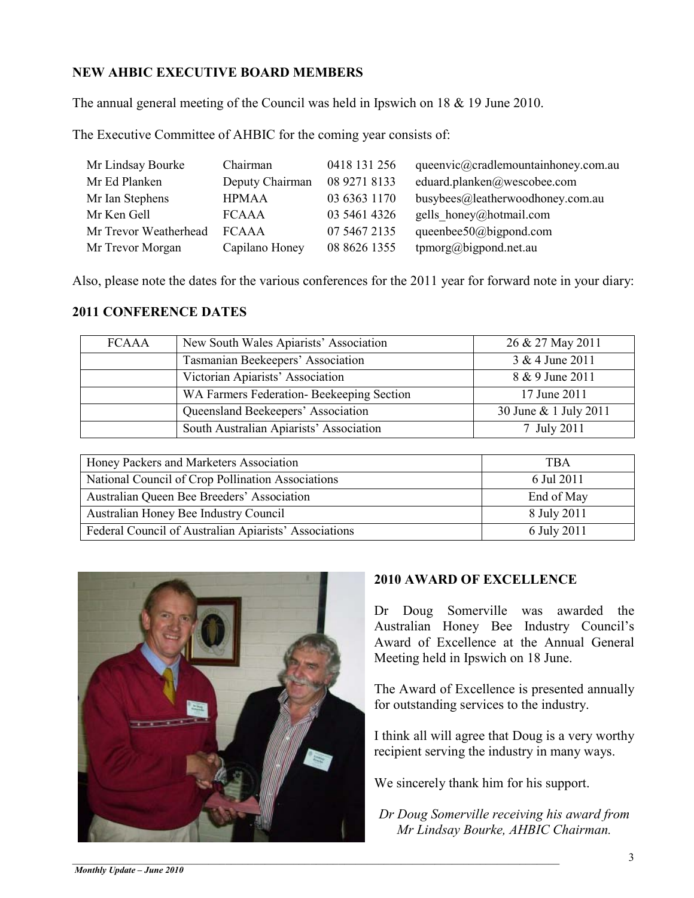# **NEW AHBIC EXECUTIVE BOARD MEMBERS**

The annual general meeting of the Council was held in Ipswich on 18 & 19 June 2010.

The Executive Committee of AHBIC for the coming year consists of:

| Mr Lindsay Bourke     | Chairman        | 0418 131 256 | queenvic@cradlemountainhoney.com.au |
|-----------------------|-----------------|--------------|-------------------------------------|
| Mr Ed Planken         | Deputy Chairman | 08 9271 8133 | eduard.planken@wescobee.com         |
| Mr Ian Stephens       | <b>HPMAA</b>    | 03 6363 1170 | busybees@leatherwoodhoney.com.au    |
| Mr Ken Gell           | <b>FCAAA</b>    | 03 5461 4326 | gells honey@hotmail.com             |
| Mr Trevor Weatherhead | <b>FCAAA</b>    | 07 5467 2135 | queenbee50@bigpond.com              |
| Mr Trevor Morgan      | Capilano Honey  | 08 8626 1355 | tpmorg@bigpond.net.au               |

Also, please note the dates for the various conferences for the 2011 year for forward note in your diary:

## **2011 CONFERENCE DATES**

| <b>FCAAA</b> | New South Wales Apiarists' Association   | 26 & 27 May 2011      |
|--------------|------------------------------------------|-----------------------|
|              | Tasmanian Beekeepers' Association        | 3 & 4 June 2011       |
|              | Victorian Apiarists' Association         | 8 & 9 June 2011       |
|              | WA Farmers Federation-Beekeeping Section | 17 June 2011          |
|              | Queensland Beekeepers' Association       | 30 June & 1 July 2011 |
|              | South Australian Apiarists' Association  | 7 July 2011           |

| Honey Packers and Marketers Association               | <b>TBA</b>  |  |  |
|-------------------------------------------------------|-------------|--|--|
| National Council of Crop Pollination Associations     | 6 Jul 2011  |  |  |
| Australian Queen Bee Breeders' Association            | End of May  |  |  |
| Australian Honey Bee Industry Council                 | 8 July 2011 |  |  |
| Federal Council of Australian Apiarists' Associations | 6 July 2011 |  |  |



# **2010 AWARD OF EXCELLENCE**

Dr Doug Somerville was awarded the Australian Honey Bee Industry Council's Award of Excellence at the Annual General Meeting held in Ipswich on 18 June.

The Award of Excellence is presented annually for outstanding services to the industry.

I think all will agree that Doug is a very worthy recipient serving the industry in many ways.

We sincerely thank him for his support.

*Dr Doug Somerville receiving his award from Mr Lindsay Bourke, AHBIC Chairman.*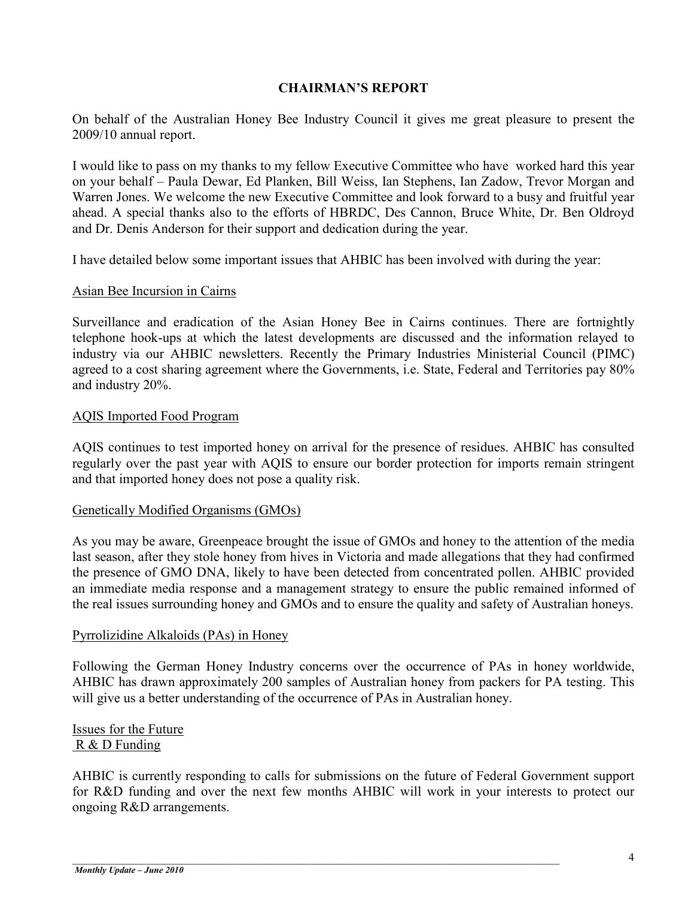### **CHAIRMAN'S REPORT**

On behalf of the Australian Honey Bee Industry Council it gives me great pleasure to present the 2009/10 annual report.

I would like to pass on my thanks to my fellow Executive Committee who have worked hard this year on your behalf – Paula Dewar, Ed Planken, Bill Weiss, Ian Stephens, Ian Zadow, Trevor Morgan and Warren Jones. We welcome the new Executive Committee and look forward to a busy and fruitful year ahead. A special thanks also to the efforts of HBRDC, Des Cannon, Bruce White, Dr. Ben Oldroyd and Dr. Denis Anderson for their support and dedication during the year.

I have detailed below some important issues that AHBIC has been involved with during the year:

#### Asian Bee Incursion in Cairns

Surveillance and eradication of the Asian Honey Bee in Cairns continues. There are fortnightly telephone hook-ups at which the latest developments are discussed and the information relayed to industry via our AHBIC newsletters. Recently the Primary Industries Ministerial Council (PIMC) agreed to a cost sharing agreement where the Governments, i.e. State, Federal and Territories pay 80% and industry 20%.

### AQIS Imported Food Program

AQIS continues to test imported honey on arrival for the presence of residues. AHBIC has consulted regularly over the past year with AQIS to ensure our border protection for imports remain stringent and that imported honey does not pose a quality risk.

#### Genetically Modified Organisms (GMOs)

As you may be aware, Greenpeace brought the issue of GMOs and honey to the attention of the media last season, after they stole honey from hives in Victoria and made allegations that they had confirmed the presence of GMO DNA, likely to have been detected from concentrated pollen. AHBIC provided an immediate media response and a management strategy to ensure the public remained informed of the real issues surrounding honey and GMOs and to ensure the quality and safety of Australian honeys.

#### Pyrrolizidine Alkaloids (PAs) in Honey

Following the German Honey Industry concerns over the occurrence of PAs in honey worldwide, AHBIC has drawn approximately 200 samples of Australian honey from packers for PA testing. This will give us a better understanding of the occurrence of PAs in Australian honey.

## Issues for the Future R & D Funding

AHBIC is currently responding to calls for submissions on the future of Federal Government support for R&D funding and over the next few months AHBIC will work in your interests to protect our ongoing R&D arrangements.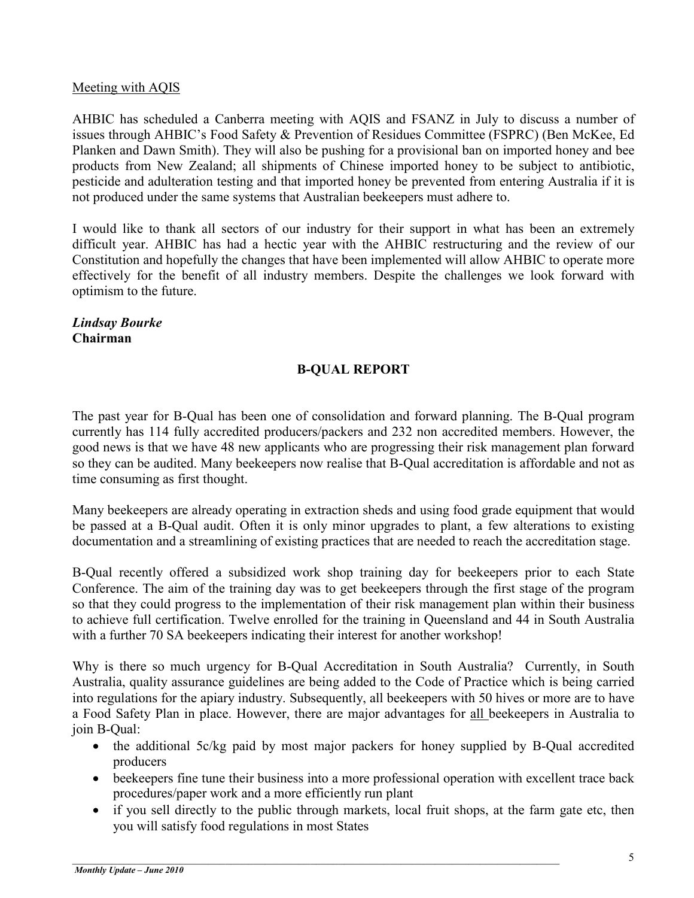## Meeting with AQIS

AHBIC has scheduled a Canberra meeting with AQIS and FSANZ in July to discuss a number of issues through AHBIC's Food Safety & Prevention of Residues Committee (FSPRC) (Ben McKee, Ed Planken and Dawn Smith). They will also be pushing for a provisional ban on imported honey and bee products from New Zealand; all shipments of Chinese imported honey to be subject to antibiotic, pesticide and adulteration testing and that imported honey be prevented from entering Australia if it is not produced under the same systems that Australian beekeepers must adhere to.

I would like to thank all sectors of our industry for their support in what has been an extremely difficult year. AHBIC has had a hectic year with the AHBIC restructuring and the review of our Constitution and hopefully the changes that have been implemented will allow AHBIC to operate more effectively for the benefit of all industry members. Despite the challenges we look forward with optimism to the future.

#### *Lindsay Bourke* **Chairman**

# **B-QUAL REPORT**

The past year for B-Qual has been one of consolidation and forward planning. The B-Qual program currently has 114 fully accredited producers/packers and 232 non accredited members. However, the good news is that we have 48 new applicants who are progressing their risk management plan forward so they can be audited. Many beekeepers now realise that B-Qual accreditation is affordable and not as time consuming as first thought.

Many beekeepers are already operating in extraction sheds and using food grade equipment that would be passed at a B-Qual audit. Often it is only minor upgrades to plant, a few alterations to existing documentation and a streamlining of existing practices that are needed to reach the accreditation stage.

B-Qual recently offered a subsidized work shop training day for beekeepers prior to each State Conference. The aim of the training day was to get beekeepers through the first stage of the program so that they could progress to the implementation of their risk management plan within their business to achieve full certification. Twelve enrolled for the training in Queensland and 44 in South Australia with a further 70 SA beekeepers indicating their interest for another workshop!

Why is there so much urgency for B-Qual Accreditation in South Australia? Currently, in South Australia, quality assurance guidelines are being added to the Code of Practice which is being carried into regulations for the apiary industry. Subsequently, all beekeepers with 50 hives or more are to have a Food Safety Plan in place. However, there are major advantages for all beekeepers in Australia to join B-Qual:

- the additional 5c/kg paid by most major packers for honey supplied by B-Qual accredited producers
- beekeepers fine tune their business into a more professional operation with excellent trace back procedures/paper work and a more efficiently run plant
- if you sell directly to the public through markets, local fruit shops, at the farm gate etc, then you will satisfy food regulations in most States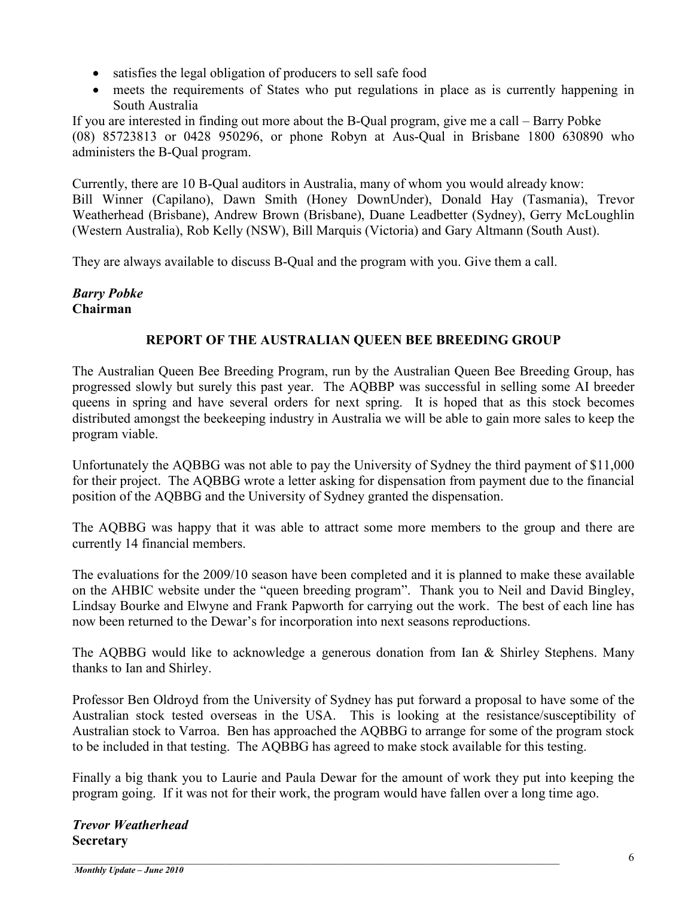- satisfies the legal obligation of producers to sell safe food
- meets the requirements of States who put regulations in place as is currently happening in South Australia

If you are interested in finding out more about the B-Qual program, give me a call – Barry Pobke (08) 85723813 or 0428 950296, or phone Robyn at Aus-Qual in Brisbane 1800 630890 who administers the B-Qual program.

Currently, there are 10 B-Qual auditors in Australia, many of whom you would already know: Bill Winner (Capilano), Dawn Smith (Honey DownUnder), Donald Hay (Tasmania), Trevor Weatherhead (Brisbane), Andrew Brown (Brisbane), Duane Leadbetter (Sydney), Gerry McLoughlin (Western Australia), Rob Kelly (NSW), Bill Marquis (Victoria) and Gary Altmann (South Aust).

They are always available to discuss B-Qual and the program with you. Give them a call.

# *Barry Pobke* **Chairman**

# **REPORT OF THE AUSTRALIAN QUEEN BEE BREEDING GROUP**

The Australian Queen Bee Breeding Program, run by the Australian Queen Bee Breeding Group, has progressed slowly but surely this past year. The AQBBP was successful in selling some AI breeder queens in spring and have several orders for next spring. It is hoped that as this stock becomes distributed amongst the beekeeping industry in Australia we will be able to gain more sales to keep the program viable.

Unfortunately the AQBBG was not able to pay the University of Sydney the third payment of \$11,000 for their project. The AQBBG wrote a letter asking for dispensation from payment due to the financial position of the AQBBG and the University of Sydney granted the dispensation.

The AQBBG was happy that it was able to attract some more members to the group and there are currently 14 financial members.

The evaluations for the 2009/10 season have been completed and it is planned to make these available on the AHBIC website under the "queen breeding program". Thank you to Neil and David Bingley, Lindsay Bourke and Elwyne and Frank Papworth for carrying out the work. The best of each line has now been returned to the Dewar's for incorporation into next seasons reproductions.

The AQBBG would like to acknowledge a generous donation from Ian & Shirley Stephens. Many thanks to Ian and Shirley.

Professor Ben Oldroyd from the University of Sydney has put forward a proposal to have some of the Australian stock tested overseas in the USA. This is looking at the resistance/susceptibility of Australian stock to Varroa. Ben has approached the AQBBG to arrange for some of the program stock to be included in that testing. The AQBBG has agreed to make stock available for this testing.

Finally a big thank you to Laurie and Paula Dewar for the amount of work they put into keeping the program going. If it was not for their work, the program would have fallen over a long time ago.

*Trevor Weatherhead* **Secretary**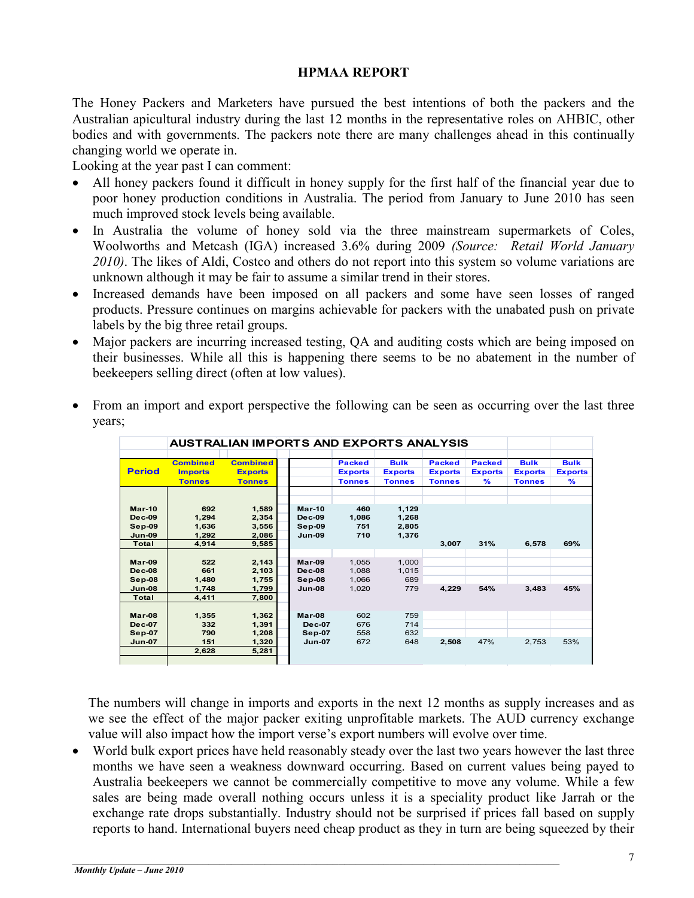#### **HPMAA REPORT**

The Honey Packers and Marketers have pursued the best intentions of both the packers and the Australian apicultural industry during the last 12 months in the representative roles on AHBIC, other bodies and with governments. The packers note there are many challenges ahead in this continually changing world we operate in.

Looking at the year past I can comment:

- All honey packers found it difficult in honey supply for the first half of the financial year due to poor honey production conditions in Australia. The period from January to June 2010 has seen much improved stock levels being available.
- In Australia the volume of honey sold via the three mainstream supermarkets of Coles, Woolworths and Metcash (IGA) increased 3.6% during 2009 *(Source: Retail World January 2010)*. The likes of Aldi, Costco and others do not report into this system so volume variations are unknown although it may be fair to assume a similar trend in their stores.
- Increased demands have been imposed on all packers and some have seen losses of ranged products. Pressure continues on margins achievable for packers with the unabated push on private labels by the big three retail groups.
- Major packers are incurring increased testing, QA and auditing costs which are being imposed on their businesses. While all this is happening there seems to be no abatement in the number of beekeepers selling direct (often at low values).

|                                                                    |                                                    | <b>AUSTRALIAN IMPORTS AND EXPORTS ANALYSIS</b>     |                                                           |                                                  |                                                |                                                  |                                                  |                                                |                                                |
|--------------------------------------------------------------------|----------------------------------------------------|----------------------------------------------------|-----------------------------------------------------------|--------------------------------------------------|------------------------------------------------|--------------------------------------------------|--------------------------------------------------|------------------------------------------------|------------------------------------------------|
| <b>Period</b>                                                      | <b>Combined</b><br><b>Imports</b><br><b>Tonnes</b> | <b>Combined</b><br><b>Exports</b><br><b>Tonnes</b> |                                                           | <b>Packed</b><br><b>Exports</b><br><b>Tonnes</b> | <b>Bulk</b><br><b>Exports</b><br><b>Tonnes</b> | <b>Packed</b><br><b>Exports</b><br><b>Tonnes</b> | <b>Packed</b><br><b>Exports</b><br>$\frac{9}{6}$ | <b>Bulk</b><br><b>Exports</b><br><b>Tonnes</b> | <b>Bulk</b><br><b>Exports</b><br>$\frac{9}{6}$ |
| $Mar-10$<br><b>Dec-09</b><br>$Sep-09$<br>$Jun-09$<br>Total         | 692<br>1,294<br>1,636<br>1.292<br>4.914            | 1,589<br>2,354<br>3,556<br>2,086<br>9,585          | $Mar-10$<br><b>Dec-09</b><br>$Sep-09$<br><b>Jun-09</b>    | 460<br>1,086<br>751<br>710                       | 1,129<br>1,268<br>2,805<br>1,376               | 3,007                                            | 31%                                              | 6,578                                          | 69%                                            |
| Mar-09<br>$Dec-08$<br>$Sep-08$<br>$Jun-08$                         | 522<br>661<br>1.480<br>1.748                       | 2,143<br>2,103<br>1,755<br>1,799                   | $Mar-09$<br>$Dec-08$<br>$Sep-08$<br><b>Jun-08</b>         | 1,055<br>1,088<br>1,066<br>1.020                 | 1,000<br>1,015<br>689<br>779                   | 4,229                                            | 54%                                              | 3,483                                          | 45%                                            |
| Total<br>Mar-08<br><b>Dec-07</b><br><b>Sep 07</b><br><b>Jun-07</b> | 4,411<br>1,355<br>332<br>790<br>151<br>2,628       | 7,800<br>1,362<br>1,391<br>1,208<br>1,320<br>5,281 | Mar-08<br><b>Dec-07</b><br><b>Sep-07</b><br><b>Jun-07</b> | 602<br>676<br>558<br>672                         | 759<br>714<br>632<br>648                       | 2,508                                            | 47%                                              | 2,753                                          | 53%                                            |
|                                                                    |                                                    |                                                    |                                                           |                                                  |                                                |                                                  |                                                  |                                                |                                                |

• From an import and export perspective the following can be seen as occurring over the last three years;

The numbers will change in imports and exports in the next 12 months as supply increases and as we see the effect of the major packer exiting unprofitable markets. The AUD currency exchange value will also impact how the import verse's export numbers will evolve over time.

• World bulk export prices have held reasonably steady over the last two years however the last three months we have seen a weakness downward occurring. Based on current values being payed to Australia beekeepers we cannot be commercially competitive to move any volume. While a few sales are being made overall nothing occurs unless it is a speciality product like Jarrah or the exchange rate drops substantially. Industry should not be surprised if prices fall based on supply reports to hand. International buyers need cheap product as they in turn are being squeezed by their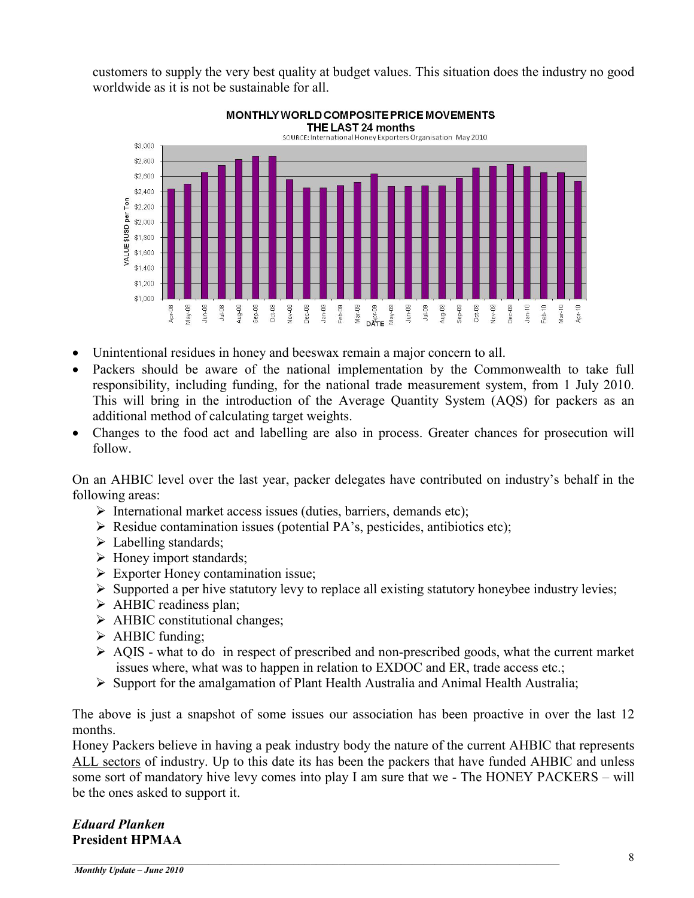customers to supply the very best quality at budget values. This situation does the industry no good worldwide as it is not be sustainable for all.



- Unintentional residues in honey and beeswax remain a major concern to all.
- Packers should be aware of the national implementation by the Commonwealth to take full responsibility, including funding, for the national trade measurement system, from 1 July 2010. This will bring in the introduction of the Average Quantity System (AQS) for packers as an additional method of calculating target weights.
- Changes to the food act and labelling are also in process. Greater chances for prosecution will follow.

On an AHBIC level over the last year, packer delegates have contributed on industry's behalf in the following areas:

- $\triangleright$  International market access issues (duties, barriers, demands etc);
- $\triangleright$  Residue contamination issues (potential PA's, pesticides, antibiotics etc);
- $\triangleright$  Labelling standards;
- $\triangleright$  Honey import standards;
- $\triangleright$  Exporter Honey contamination issue;
- $\triangleright$  Supported a per hive statutory levy to replace all existing statutory honeybee industry levies;
- $\triangleright$  AHBIC readiness plan;
- $\triangleright$  AHBIC constitutional changes;
- $\triangleright$  AHBIC funding;
- $\triangleright$  AQIS what to do in respect of prescribed and non-prescribed goods, what the current market issues where, what was to happen in relation to EXDOC and ER, trade access etc.;
- $\triangleright$  Support for the amalgamation of Plant Health Australia and Animal Health Australia;

The above is just a snapshot of some issues our association has been proactive in over the last 12 months.

Honey Packers believe in having a peak industry body the nature of the current AHBIC that represents ALL sectors of industry. Up to this date its has been the packers that have funded AHBIC and unless some sort of mandatory hive levy comes into play I am sure that we - The HONEY PACKERS – will be the ones asked to support it.

 $\_$  ,  $\_$  ,  $\_$  ,  $\_$  ,  $\_$  ,  $\_$  ,  $\_$  ,  $\_$  ,  $\_$  ,  $\_$  ,  $\_$  ,  $\_$  ,  $\_$  ,  $\_$  ,  $\_$  ,  $\_$  ,  $\_$  ,  $\_$  ,  $\_$  ,  $\_$  ,  $\_$  ,  $\_$  ,  $\_$  ,  $\_$  ,  $\_$  ,  $\_$  ,  $\_$  ,  $\_$  ,  $\_$  ,  $\_$  ,  $\_$  ,  $\_$  ,  $\_$  ,  $\_$  ,  $\_$  ,  $\_$  ,  $\_$  ,

### *Eduard Planken* **President HPMAA**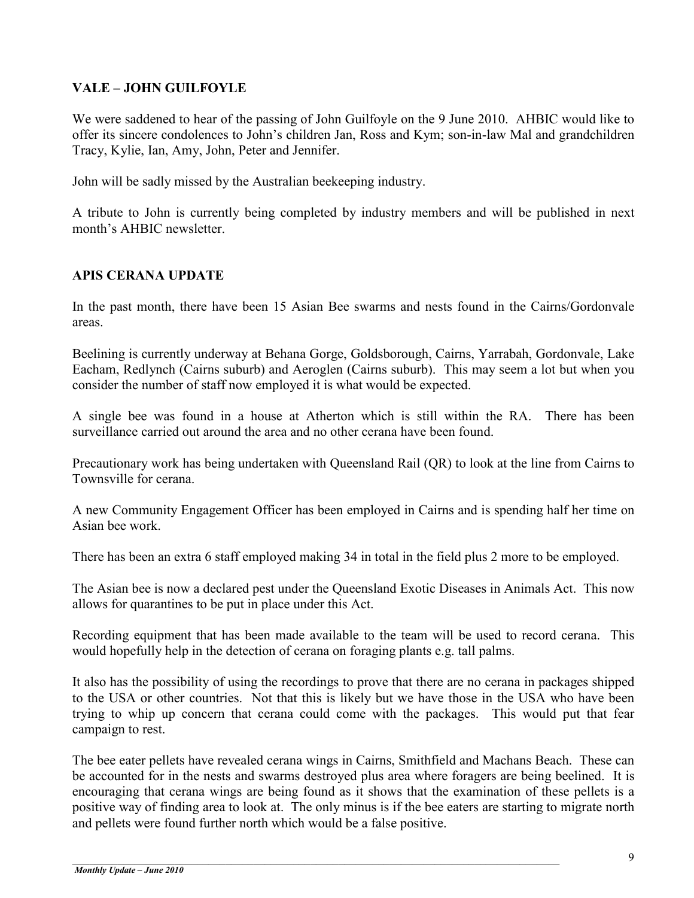# **VALE – JOHN GUILFOYLE**

We were saddened to hear of the passing of John Guilfoyle on the 9 June 2010. AHBIC would like to offer its sincere condolences to John's children Jan, Ross and Kym; son-in-law Mal and grandchildren Tracy, Kylie, Ian, Amy, John, Peter and Jennifer.

John will be sadly missed by the Australian beekeeping industry.

A tribute to John is currently being completed by industry members and will be published in next month's AHBIC newsletter.

## **APIS CERANA UPDATE**

In the past month, there have been 15 Asian Bee swarms and nests found in the Cairns/Gordonvale areas.

Beelining is currently underway at Behana Gorge, Goldsborough, Cairns, Yarrabah, Gordonvale, Lake Eacham, Redlynch (Cairns suburb) and Aeroglen (Cairns suburb). This may seem a lot but when you consider the number of staff now employed it is what would be expected.

A single bee was found in a house at Atherton which is still within the RA. There has been surveillance carried out around the area and no other cerana have been found.

Precautionary work has being undertaken with Queensland Rail (QR) to look at the line from Cairns to Townsville for cerana.

A new Community Engagement Officer has been employed in Cairns and is spending half her time on Asian bee work.

There has been an extra 6 staff employed making 34 in total in the field plus 2 more to be employed.

The Asian bee is now a declared pest under the Queensland Exotic Diseases in Animals Act. This now allows for quarantines to be put in place under this Act.

Recording equipment that has been made available to the team will be used to record cerana. This would hopefully help in the detection of cerana on foraging plants e.g. tall palms.

It also has the possibility of using the recordings to prove that there are no cerana in packages shipped to the USA or other countries. Not that this is likely but we have those in the USA who have been trying to whip up concern that cerana could come with the packages. This would put that fear campaign to rest.

The bee eater pellets have revealed cerana wings in Cairns, Smithfield and Machans Beach. These can be accounted for in the nests and swarms destroyed plus area where foragers are being beelined. It is encouraging that cerana wings are being found as it shows that the examination of these pellets is a positive way of finding area to look at. The only minus is if the bee eaters are starting to migrate north and pellets were found further north which would be a false positive.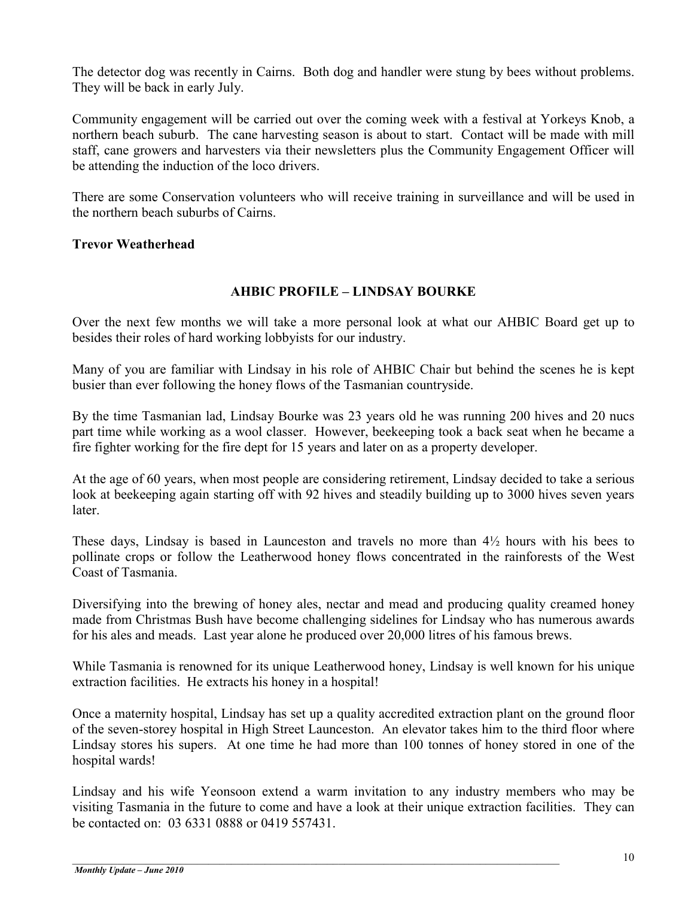The detector dog was recently in Cairns. Both dog and handler were stung by bees without problems. They will be back in early July.

Community engagement will be carried out over the coming week with a festival at Yorkeys Knob, a northern beach suburb. The cane harvesting season is about to start. Contact will be made with mill staff, cane growers and harvesters via their newsletters plus the Community Engagement Officer will be attending the induction of the loco drivers.

There are some Conservation volunteers who will receive training in surveillance and will be used in the northern beach suburbs of Cairns.

## **Trevor Weatherhead**

## **AHBIC PROFILE – LINDSAY BOURKE**

Over the next few months we will take a more personal look at what our AHBIC Board get up to besides their roles of hard working lobbyists for our industry.

Many of you are familiar with Lindsay in his role of AHBIC Chair but behind the scenes he is kept busier than ever following the honey flows of the Tasmanian countryside.

By the time Tasmanian lad, Lindsay Bourke was 23 years old he was running 200 hives and 20 nucs part time while working as a wool classer. However, beekeeping took a back seat when he became a fire fighter working for the fire dept for 15 years and later on as a property developer.

At the age of 60 years, when most people are considering retirement, Lindsay decided to take a serious look at beekeeping again starting off with 92 hives and steadily building up to 3000 hives seven years later.

These days, Lindsay is based in Launceston and travels no more than  $4\frac{1}{2}$  hours with his bees to pollinate crops or follow the Leatherwood honey flows concentrated in the rainforests of the West Coast of Tasmania.

Diversifying into the brewing of honey ales, nectar and mead and producing quality creamed honey made from Christmas Bush have become challenging sidelines for Lindsay who has numerous awards for his ales and meads. Last year alone he produced over 20,000 litres of his famous brews.

While Tasmania is renowned for its unique Leatherwood honey, Lindsay is well known for his unique extraction facilities. He extracts his honey in a hospital!

Once a maternity hospital, Lindsay has set up a quality accredited extraction plant on the ground floor of the seven-storey hospital in High Street Launceston. An elevator takes him to the third floor where Lindsay stores his supers. At one time he had more than 100 tonnes of honey stored in one of the hospital wards!

Lindsay and his wife Yeonsoon extend a warm invitation to any industry members who may be visiting Tasmania in the future to come and have a look at their unique extraction facilities. They can be contacted on: 03 6331 0888 or 0419 557431.